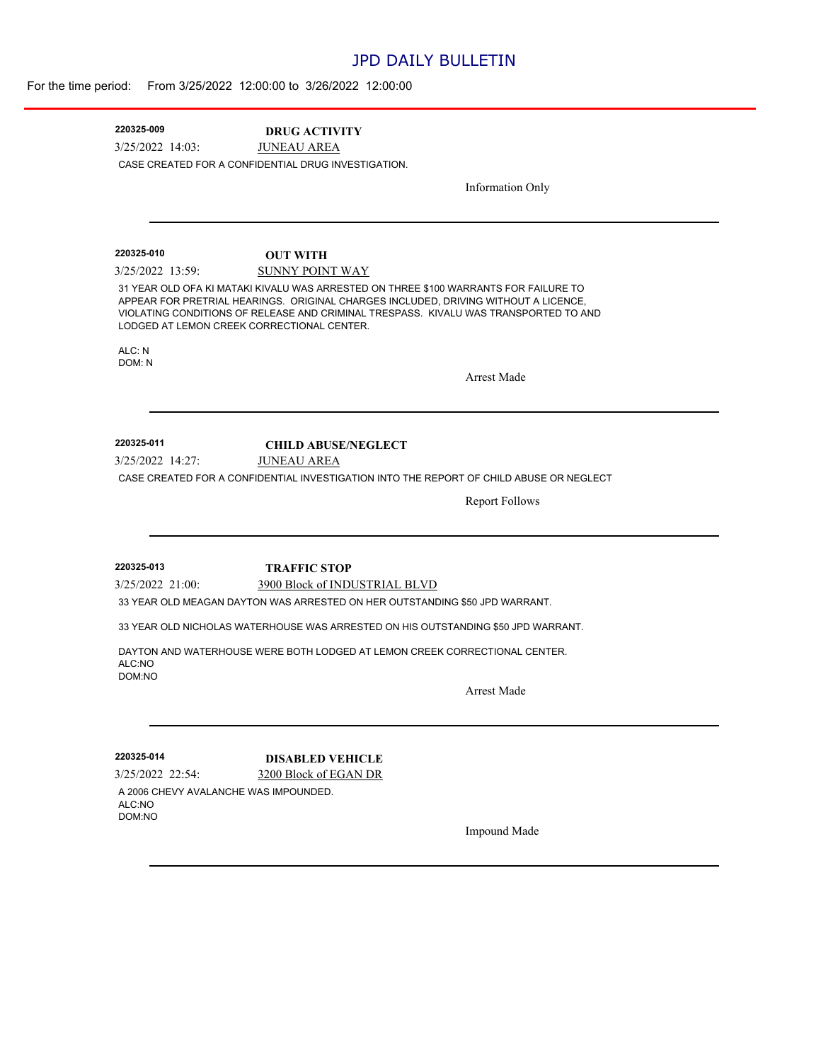## JPD DAILY BULLETIN

| 220325-009         | <b>DRUG ACTIVITY</b>                                                                                                                                                                                                                                                                                              |  |
|--------------------|-------------------------------------------------------------------------------------------------------------------------------------------------------------------------------------------------------------------------------------------------------------------------------------------------------------------|--|
| $3/25/2022$ 14:03: | <b>JUNEAU AREA</b>                                                                                                                                                                                                                                                                                                |  |
|                    | CASE CREATED FOR A CONFIDENTIAL DRUG INVESTIGATION.                                                                                                                                                                                                                                                               |  |
|                    | Information Only                                                                                                                                                                                                                                                                                                  |  |
|                    |                                                                                                                                                                                                                                                                                                                   |  |
|                    |                                                                                                                                                                                                                                                                                                                   |  |
| 220325-010         | <b>OUT WITH</b>                                                                                                                                                                                                                                                                                                   |  |
| 3/25/2022 13:59:   | <b>SUNNY POINT WAY</b>                                                                                                                                                                                                                                                                                            |  |
|                    | 31 YEAR OLD OFA KI MATAKI KIVALU WAS ARRESTED ON THREE \$100 WARRANTS FOR FAILURE TO<br>APPEAR FOR PRETRIAL HEARINGS. ORIGINAL CHARGES INCLUDED, DRIVING WITHOUT A LICENCE,<br>VIOLATING CONDITIONS OF RELEASE AND CRIMINAL TRESPASS. KIVALU WAS TRANSPORTED TO AND<br>LODGED AT LEMON CREEK CORRECTIONAL CENTER. |  |
| ALC: N<br>DOM: N   |                                                                                                                                                                                                                                                                                                                   |  |
|                    | <b>Arrest Made</b>                                                                                                                                                                                                                                                                                                |  |
|                    |                                                                                                                                                                                                                                                                                                                   |  |
|                    |                                                                                                                                                                                                                                                                                                                   |  |
| 220325-011         |                                                                                                                                                                                                                                                                                                                   |  |
|                    | <b>CHILD ABUSE/NEGLECT</b>                                                                                                                                                                                                                                                                                        |  |
| 3/25/2022 14:27:   | <b>JUNEAU AREA</b>                                                                                                                                                                                                                                                                                                |  |
|                    | CASE CREATED FOR A CONFIDENTIAL INVESTIGATION INTO THE REPORT OF CHILD ABUSE OR NEGLECT                                                                                                                                                                                                                           |  |
|                    | <b>Report Follows</b>                                                                                                                                                                                                                                                                                             |  |
|                    |                                                                                                                                                                                                                                                                                                                   |  |
|                    |                                                                                                                                                                                                                                                                                                                   |  |
| 220325-013         | <b>TRAFFIC STOP</b>                                                                                                                                                                                                                                                                                               |  |
| 3/25/2022 21:00:   | 3900 Block of INDUSTRIAL BLVD                                                                                                                                                                                                                                                                                     |  |
|                    | 33 YEAR OLD MEAGAN DAYTON WAS ARRESTED ON HER OUTSTANDING \$50 JPD WARRANT.                                                                                                                                                                                                                                       |  |
|                    | 33 YEAR OLD NICHOLAS WATERHOUSE WAS ARRESTED ON HIS OUTSTANDING \$50 JPD WARRANT.                                                                                                                                                                                                                                 |  |
| ALC:NO             | DAYTON AND WATERHOUSE WERE BOTH LODGED AT LEMON CREEK CORRECTIONAL CENTER.                                                                                                                                                                                                                                        |  |
| DOM:NO             | <b>Arrest Made</b>                                                                                                                                                                                                                                                                                                |  |
|                    |                                                                                                                                                                                                                                                                                                                   |  |
|                    |                                                                                                                                                                                                                                                                                                                   |  |
| 220325-014         | <b>DISABLED VEHICLE</b>                                                                                                                                                                                                                                                                                           |  |
| 3/25/2022 22:54:   | 3200 Block of EGAN DR                                                                                                                                                                                                                                                                                             |  |
| ALC:NO<br>DOM:NO   | A 2006 CHEVY AVALANCHE WAS IMPOUNDED.                                                                                                                                                                                                                                                                             |  |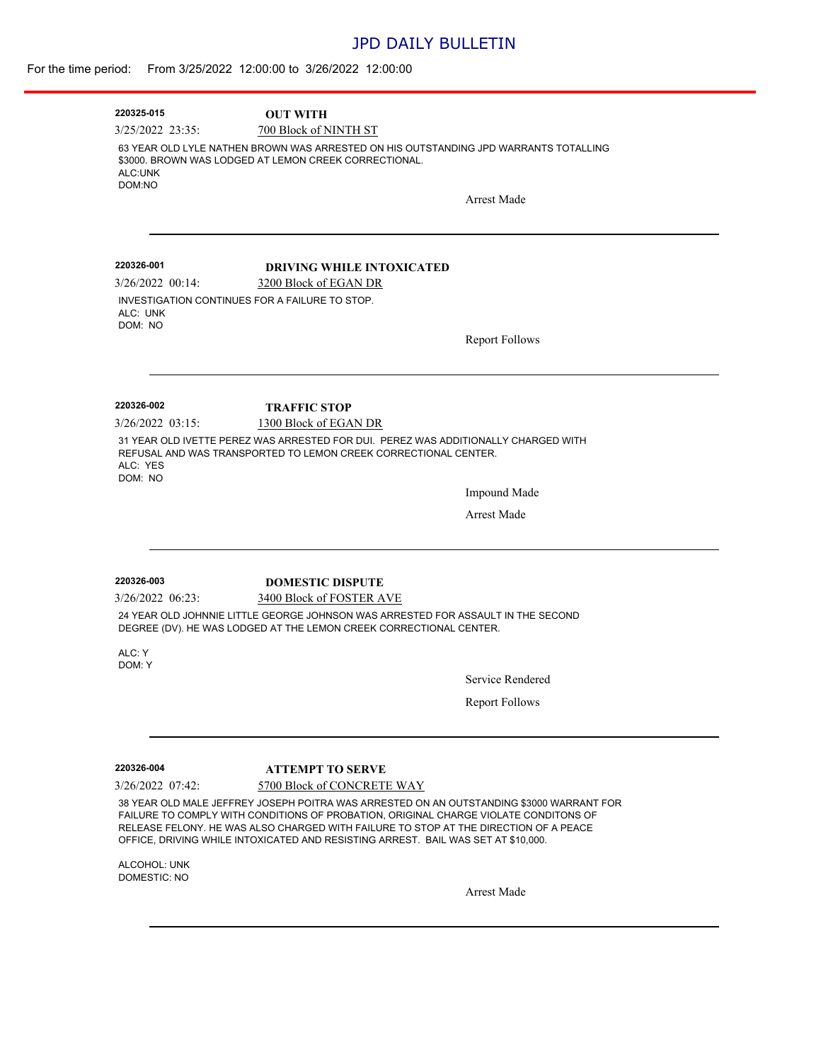# JPD DAILY BULLETIN

### For the time period: From 3/25/2022 12:00:00 to 3/26/2022 12:00:00

|                                                    | <b>OUT WITH</b>                                                                                                                                        |                                                                                                                                                                                                                                                                          |
|----------------------------------------------------|--------------------------------------------------------------------------------------------------------------------------------------------------------|--------------------------------------------------------------------------------------------------------------------------------------------------------------------------------------------------------------------------------------------------------------------------|
| 3/25/2022 23:35:                                   | 700 Block of NINTH ST                                                                                                                                  |                                                                                                                                                                                                                                                                          |
| ALC:UNK<br>DOM:NO                                  | \$3000. BROWN WAS LODGED AT LEMON CREEK CORRECTIONAL.                                                                                                  | 63 YEAR OLD LYLE NATHEN BROWN WAS ARRESTED ON HIS OUTSTANDING JPD WARRANTS TOTALLING                                                                                                                                                                                     |
|                                                    |                                                                                                                                                        | Arrest Made                                                                                                                                                                                                                                                              |
|                                                    |                                                                                                                                                        |                                                                                                                                                                                                                                                                          |
| 220326-001                                         | <b>DRIVING WHILE INTOXICATED</b>                                                                                                                       |                                                                                                                                                                                                                                                                          |
| $3/26/2022$ 00:14:                                 | 3200 Block of EGAN DR                                                                                                                                  |                                                                                                                                                                                                                                                                          |
| ALC: UNK<br>DOM: NO                                | INVESTIGATION CONTINUES FOR A FAILURE TO STOP.                                                                                                         |                                                                                                                                                                                                                                                                          |
|                                                    |                                                                                                                                                        | Report Follows                                                                                                                                                                                                                                                           |
| 220326-002                                         | <b>TRAFFIC STOP</b>                                                                                                                                    |                                                                                                                                                                                                                                                                          |
| $3/26/2022$ 03:15:                                 | 1300 Block of EGAN DR                                                                                                                                  |                                                                                                                                                                                                                                                                          |
| ALC: YES<br>DOM: NO                                | 31 YEAR OLD IVETTE PEREZ WAS ARRESTED FOR DUI. PEREZ WAS ADDITIONALLY CHARGED WITH<br>REFUSAL AND WAS TRANSPORTED TO LEMON CREEK CORRECTIONAL CENTER.  |                                                                                                                                                                                                                                                                          |
|                                                    |                                                                                                                                                        | <b>Impound Made</b>                                                                                                                                                                                                                                                      |
|                                                    |                                                                                                                                                        | <b>Arrest Made</b>                                                                                                                                                                                                                                                       |
|                                                    |                                                                                                                                                        |                                                                                                                                                                                                                                                                          |
| 220326-003                                         | <b>DOMESTIC DISPUTE</b>                                                                                                                                |                                                                                                                                                                                                                                                                          |
|                                                    |                                                                                                                                                        |                                                                                                                                                                                                                                                                          |
|                                                    | 3400 Block of FOSTER AVE                                                                                                                               |                                                                                                                                                                                                                                                                          |
|                                                    | 24 YEAR OLD JOHNNIE LITTLE GEORGE JOHNSON WAS ARRESTED FOR ASSAULT IN THE SECOND<br>DEGREE (DV). HE WAS LODGED AT THE LEMON CREEK CORRECTIONAL CENTER. |                                                                                                                                                                                                                                                                          |
| ALC: Y<br>DOM: Y                                   |                                                                                                                                                        |                                                                                                                                                                                                                                                                          |
|                                                    |                                                                                                                                                        | Service Rendered                                                                                                                                                                                                                                                         |
|                                                    |                                                                                                                                                        | <b>Report Follows</b>                                                                                                                                                                                                                                                    |
|                                                    |                                                                                                                                                        |                                                                                                                                                                                                                                                                          |
|                                                    | <b>ATTEMPT TO SERVE</b><br>5700 Block of CONCRETE WAY                                                                                                  |                                                                                                                                                                                                                                                                          |
|                                                    | OFFICE, DRIVING WHILE INTOXICATED AND RESISTING ARREST. BAIL WAS SET AT \$10,000.                                                                      | 38 YEAR OLD MALE JEFFREY JOSEPH POITRA WAS ARRESTED ON AN OUTSTANDING \$3000 WARRANT FOR<br>FAILURE TO COMPLY WITH CONDITIONS OF PROBATION, ORIGINAL CHARGE VIOLATE CONDITONS OF<br>RELEASE FELONY. HE WAS ALSO CHARGED WITH FAILURE TO STOP AT THE DIRECTION OF A PEACE |
| ALCOHOL: UNK<br>DOMESTIC: NO                       |                                                                                                                                                        |                                                                                                                                                                                                                                                                          |
| 3/26/2022 06:23:<br>220326-004<br>3/26/2022 07:42: |                                                                                                                                                        | <b>Arrest Made</b>                                                                                                                                                                                                                                                       |